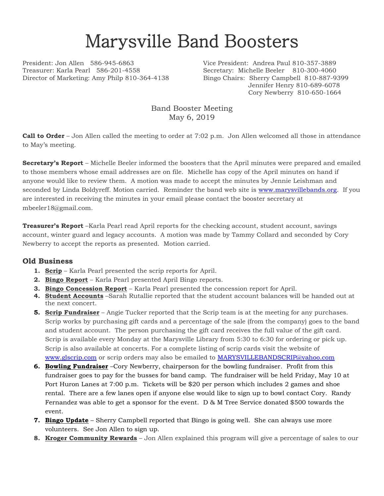## Marysville Band Boosters

President: Jon Allen 586-945-6863 Vice President: Andrea Paul 810-357-3889 Treasurer: Karla Pearl 586-201-4558 Secretary: Michelle Beeler 810-300-4060 Director of Marketing: Amy Philp 810-364-4138 Bingo Chairs: Sherry Campbell 810-887-9399

Jennifer Henry 810-689-6078 Cory Newberry 810-650-1664

Band Booster Meeting May 6, 2019

**Call to Order** – Jon Allen called the meeting to order at 7:02 p.m. Jon Allen welcomed all those in attendance to May's meeting.

**Secretary's Report** – Michelle Beeler informed the boosters that the April minutes were prepared and emailed to those members whose email addresses are on file. Michelle has copy of the April minutes on hand if anyone would like to review them. A motion was made to accept the minutes by Jennie Leishman and seconded by Linda Boldyreff. Motion carried. Reminder the band web site is [www.marysvillebands.org.](http://www.marysvillebands.org/) If you are interested in receiving the minutes in your email please contact the booster secretary at mbeeler18@gmail.com.

**Treasurer's Report** –Karla Pearl read April reports for the checking account, student account, savings account, winter guard and legacy accounts. A motion was made by Tammy Collard and seconded by Cory Newberry to accept the reports as presented. Motion carried.

## **Old Business**

- **1. Scrip** Karla Pearl presented the scrip reports for April.
- **2. Bingo Report** Karla Pearl presented April Bingo reports.
- **3. Bingo Concession Report** Karla Pearl presented the concession report for April.
- **4. Student Accounts** –Sarah Rutallie reported that the student account balances will be handed out at the next concert.
- **5. Scrip Fundraiser** Angie Tucker reported that the Scrip team is at the meeting for any purchases. Scrip works by purchasing gift cards and a percentage of the sale (from the company) goes to the band and student account. The person purchasing the gift card receives the full value of the gift card. Scrip is available every Monday at the Marysville Library from 5:30 to 6:30 for ordering or pick up. Scrip is also available at concerts. For a complete listing of scrip cards visit the website of [www.glscrip.com](http://www.glscrip.com/) or scrip orders may also be emailed to [MARYSVILLEBANDSCRIP@yahoo.com](mailto:MARYSVILLEBANDSCRIP@yahoo.com)
- **6. Bowling Fundraiser** –Cory Newberry, chairperson for the bowling fundraiser. Profit from this fundraiser goes to pay for the busses for band camp. The fundraiser will be held Friday, May 10 at Port Huron Lanes at 7:00 p.m. Tickets will be \$20 per person which includes 2 games and shoe rental. There are a few lanes open if anyone else would like to sign up to bowl contact Cory. Randy Fernandez was able to get a sponsor for the event. D & M Tree Service donated \$500 towards the event.
- **7. Bingo Update** Sherry Campbell reported that Bingo is going well. She can always use more volunteers. See Jon Allen to sign up.
- **8. Kroger Community Rewards** Jon Allen explained this program will give a percentage of sales to our